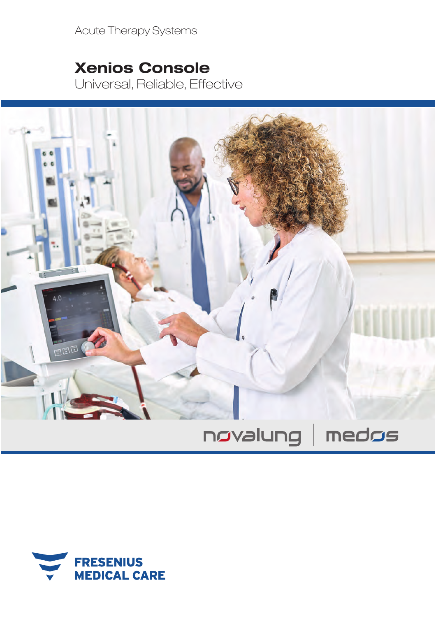Acute Therapy Systems

## Xenios Console

Universal, Reliable, Effective



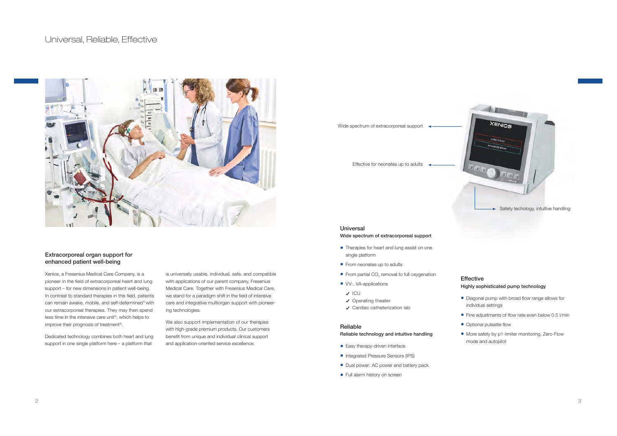### Universal, Reliable, Effective



### Extracorporeal organ support for enhanced patient well-being

Xenios, a Fresenius Medical Care Company, is a pioneer in the field of extracorporeal heart and lung support – for new dimensions in patient well-being. In contrast to standard therapies in this field, patients can remain awake, mobile, and self-determined<sup>1)</sup> with our extracorporeal therapies. They may then spend less time in the intensive care unit<sup>2)</sup>, which helps to improve their prognosis of treatment<sup>3)</sup>.

Dedicated technology combines both heart and lung support in one single platform here – a platform that

is universally usable, individual, safe, and compatible with applications of our parent company, Fresenius Medical Care. Together with Fresenius Medical Care, we stand for a paradigm shift in the field of intensive care and integrative multiorgan support with pioneering technologies.

We also support implementation of our therapies with high-grade premium products. Our customers benefit from unique and individual clinical support and application-oriented service excellence.

Wide spectrum of extracorporeal support  $\rightarrow$ 

Effective for neonates up to adults



### Universal Wide spectrum of extracorporeal support

- Therapies for heart and lung assist on one single platform
- From neonates up to adults
- From partial CO<sub>2</sub> removal to full oxygenation
- VV-, VA-applications
- $\checkmark$  ICU
- Operating theater
- Cardiac catheterization lab

### Reliable Reliable technology and intuitive handling

- Easy therapy-driven interface
- Integrated Pressure Sensors (IPS)
- Dual power: AC power and battery pack
- Full alarm history on screen

## Effective

### Highly sophisticated pump technology

- Diagonal pump with broad flow range allows for individual settings
- $\bullet$  Fine adjustments of flow rate even below 0.5 l/min
- Optional pulsatile flow
- More safety by p1-limiter monitoring, Zero-Flow mode and autopilot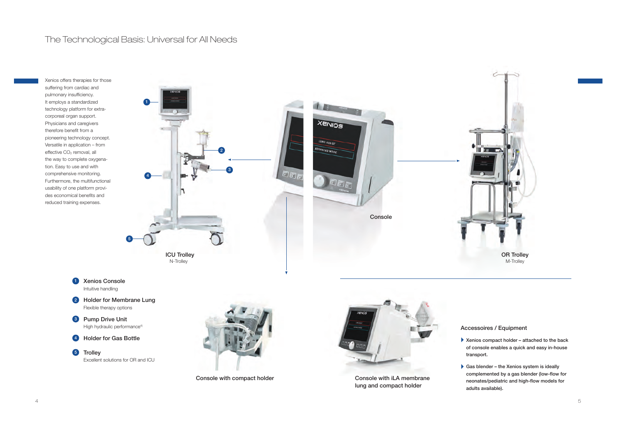## The Technological Basis: Universal for All Needs

Xenios offers therapies for those suffering from cardiac and pulmonary insufficiency. It employs a standardized technology platform for extracorporeal organ support. Physicians and caregivers therefore benefit from a pioneering technology concept. Versatile in application – from effective CO<sub>2</sub> removal, all the way to complete oxygenation. Easy to use and with comprehensive monitoring. Furthermore, the multifunctional usability of one platform provides economical benefits and reduced training expenses.



- 1 Xenios Console Intuitive handling
- 2 Holder for Membrane Lung Flexible therapy options
- 3 Pump Drive Unit High hydraulic performance<sup>4)</sup>
- 4 Holder for Gas Bottle

5 Trolley Excellent solutions for OR and ICU



Console with compact holder



Console with iLA membrane lung and compact holder

### Accessoires / Equipment

- ` Xenios compact holder attached to the back of console enables a quick and easy in-house transport.
- ` Gas blender the Xenios system is ideally complemented by a gas blender (low-flow for neonates/pediatric and high-flow models for adults available).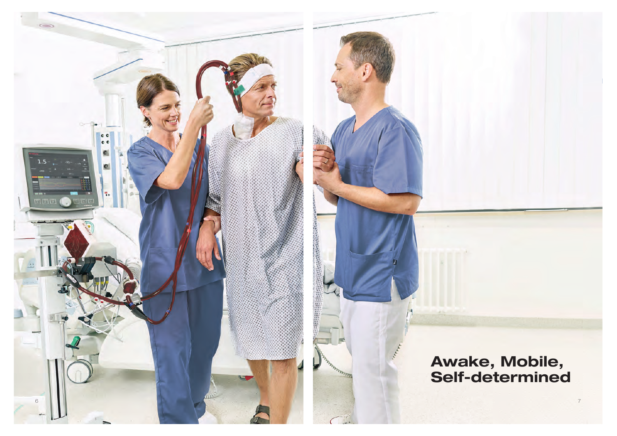

# Awake, Mobile,<br>Self-determined

 $\overline{C}$ 

7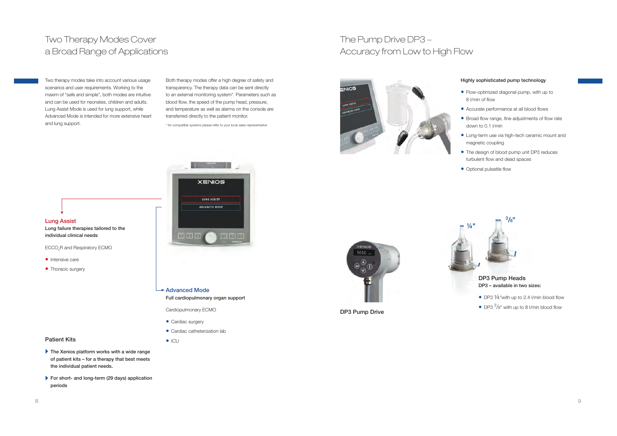## Two Therapy Modes Covera Broad Range of Applications

Two therapy modes take into account various usage scenarios and user requirements. Working to the maxim of "safe and simple", both modes are intuitive and can be used for neonates, children and adults. Lung Assist Mode is used for lung support, while Advanced Mode is intended for more extensive heart and lung support.

Both therapy modes offer a high degree of safety and transparency. The therapy data can be sent directly to an external monitoring system\*. Parameters such as blood flow, the speed of the pump head, pressure, and temperature as well as alarms on the console are transferred directly to the patient monitor.

\* for compatible systems please refer to your local sales representative

## The Pump Drive DP3 – Accuracy from Low to High Flow



### Highly sophisticated pump technology

- Flow-optimized diagonal pump, with up to 8 l/min of flow
- Accurate performance at all blood flows
- $\bullet$  Broad flow range, fine adjustments of flow rate down to 0.1 l/min
- Long-term use via high-tech ceramic mount and magnetic coupling
- The design of blood pump unit DP3 reduces turbulent flow and dead spaces
- Optional pulsatile flow



ECCO2R and Respiratory ECMO

- Intensive care
- Thoracic surgery



- Advanced Mode
	- Full cardiopulmonary organ support

Cardiopulmonary ECMO

• Cardiac surgery

 $\bullet$  ICU

• Cardiac catheterization lab



- -
- ` The Xenios platform works with a wide range of patient kits – for a therapy that best meets the individual patient needs.
- ` For short- and long-term (29 days) application periods



DP3 Pump Drive



DP3 Pump Heads DP3 – available in two sizes:

- DP3 1/4 "with up to 2.4 I/min blood flow
- DP3  $3/8$ " with up to 8 l/min blood flow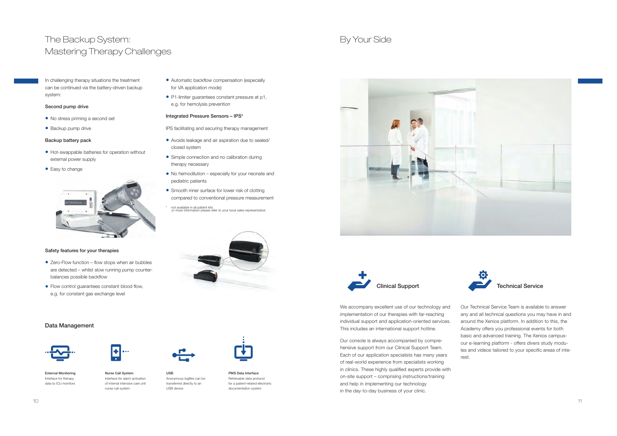## The Backup System:Mastering Therapy Challenges

In challenging therapy situations the treatmentcan be continued via the battery-driven backup system:

### Second pump drive

- No stress priming a second set
- Backup pump drive

### Backup battery pack

- Hot-swappable batteries for operation without external power supply
- Easy to change



### Safety features for your therapies

- $\bullet$  Zero-Flow function flow stops when air bubbles are detected – whilst slow running pump counterbalances possible backflow
- $\bullet$  Flow control guarantees constant blood flow, e.g. for constant gas exchange level

### Data Management



External Monitoring Interface for therapydata to ICU monitors

- - Nurse Call System Interface for alarm activationof internal intensive care unit

nurse call system

- USBUSB device
- Anonymous logfiles can be transferred directly to an



• Automatic backflow compensation (especially

• P1-limiter guarantees constant pressure at p1,

IPS facilitating and securing therapy management• Avoids leakage and air aspiration due to sealed/

• Simple connection and no calibration during

• Smooth inner surface for lower risk of clotting compared to conventional pressure measurement\* not available in all patient kits or more information please refer to your local sales representative

• No hemodilution – especially for your neonate and

for VA application mode)

closed system

therapy necessary

pediatric patients

e.g. for hemolysis preventionIntegrated Pressure Sensors – IPS\*

PMS Data Interface Retrievable data protocol for a patient-related electronic documentation system







We accompany excellent use of our technology and implementation of our therapies with far-reaching individual support and application-oriented services. This includes an international support hotline.

Our console is always accompanied by comprehensive support from our Clinical Support Team. Each of our application specialists has many years of real-world experience from specialists working in clinics. These highly qualified experts provide with on-site support – comprising instructions/training and help in implementing our technology in the day-to-day business of your clinic.



Our Technical Service Team is available to answer any and all technical questions you may have in and around the Xenios platform. In addition to this, the Academy offers you professional events for both basic and advanced training. The Xenios campusour e-learning platform - offers divers study modules and videos tailored to your specific areas of interest.